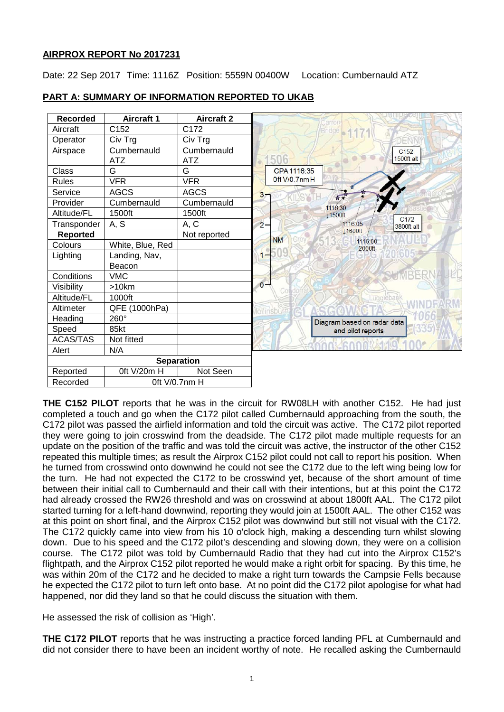## **AIRPROX REPORT No 2017231**

Date: 22 Sep 2017 Time: 1116Z Position: 5559N 00400W Location: Cumbernauld ATZ

| <b>Recorded</b>   | <b>Aircraft 1</b>         | <b>Aircraft 2</b>  | carron                                             |
|-------------------|---------------------------|--------------------|----------------------------------------------------|
| Aircraft          | C152                      | C172               | <b>Bridge</b>                                      |
| Operator          | Civ Trg                   | Civ Trg            |                                                    |
| Airspace          | Cumbernauld<br><b>ATZ</b> | Cumbernauld<br>ATZ | C <sub>152</sub><br>1500ft alt<br>506              |
| Class             | G                         | G                  | CPA 1116:35                                        |
| <b>Rules</b>      | <b>VFR</b>                | <b>VFR</b>         | Oft V/0.7nmH                                       |
| Service           | <b>AGCS</b>               | <b>AGCS</b>        | $3 -$<br>女人                                        |
| Provider          | Cumbernauld               | Cumbernauld        | 1116:30                                            |
| Altitude/FL       | 1500ft                    | 1500ft             | 11500ft                                            |
| Transponder       | A, S                      | A, C               | C <sub>172</sub><br>1116:05<br>$2 -$<br>3800ft alt |
| <b>Reported</b>   |                           | Not reported       | 11600ft<br><b>NM</b>                               |
| Colours           | White, Blue, Red          |                    | 1116:00<br>2000ft                                  |
| Lighting          | Landing, Nav,             |                    | $1 -$                                              |
|                   | Beacon                    |                    |                                                    |
| Conditions        | <b>VMC</b>                |                    |                                                    |
| Visibility        | >10km                     |                    | $\overline{0}$<br>Cot                              |
| Altitude/FL       | 1000ft                    |                    | Luggiebar                                          |
| Altimeter         | QFE (1000hPa)             |                    | ollinsbu                                           |
| Heading           | 260°                      |                    | Diagram based on radar data                        |
| Speed             | 85kt                      |                    | and pilot reports                                  |
| <b>ACAS/TAS</b>   | Not fitted                |                    |                                                    |
| Alert             | N/A                       |                    |                                                    |
| <b>Separation</b> |                           |                    |                                                    |
| Reported          | Oft V/20m H               | Not Seen           |                                                    |
| Recorded          | Oft V/0.7nm H             |                    |                                                    |

# **PART A: SUMMARY OF INFORMATION REPORTED TO UKAB**

**THE C152 PILOT** reports that he was in the circuit for RW08LH with another C152. He had just completed a touch and go when the C172 pilot called Cumbernauld approaching from the south, the C172 pilot was passed the airfield information and told the circuit was active. The C172 pilot reported they were going to join crosswind from the deadside. The C172 pilot made multiple requests for an update on the position of the traffic and was told the circuit was active, the instructor of the other C152 repeated this multiple times; as result the Airprox C152 pilot could not call to report his position. When he turned from crosswind onto downwind he could not see the C172 due to the left wing being low for the turn. He had not expected the C172 to be crosswind yet, because of the short amount of time between their initial call to Cumbernauld and their call with their intentions, but at this point the C172 had already crossed the RW26 threshold and was on crosswind at about 1800ft AAL. The C172 pilot started turning for a left-hand downwind, reporting they would join at 1500ft AAL. The other C152 was at this point on short final, and the Airprox C152 pilot was downwind but still not visual with the C172. The C172 quickly came into view from his 10 o'clock high, making a descending turn whilst slowing down. Due to his speed and the C172 pilot's descending and slowing down, they were on a collision course. The C172 pilot was told by Cumbernauld Radio that they had cut into the Airprox C152's flightpath, and the Airprox C152 pilot reported he would make a right orbit for spacing. By this time, he was within 20m of the C172 and he decided to make a right turn towards the Campsie Fells because he expected the C172 pilot to turn left onto base. At no point did the C172 pilot apologise for what had happened, nor did they land so that he could discuss the situation with them.

He assessed the risk of collision as 'High'.

**THE C172 PILOT** reports that he was instructing a practice forced landing PFL at Cumbernauld and did not consider there to have been an incident worthy of note. He recalled asking the Cumbernauld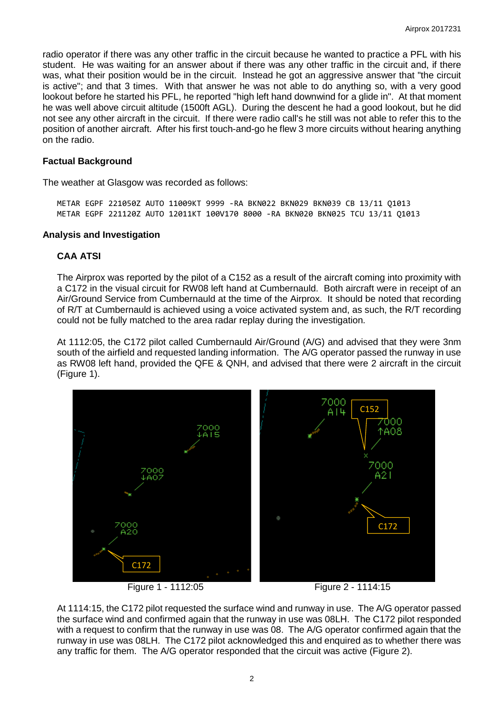radio operator if there was any other traffic in the circuit because he wanted to practice a PFL with his student. He was waiting for an answer about if there was any other traffic in the circuit and, if there was, what their position would be in the circuit. Instead he got an aggressive answer that "the circuit is active"; and that 3 times. With that answer he was not able to do anything so, with a very good lookout before he started his PFL, he reported "high left hand downwind for a glide in". At that moment he was well above circuit altitude (1500ft AGL). During the descent he had a good lookout, but he did not see any other aircraft in the circuit. If there were radio call's he still was not able to refer this to the position of another aircraft. After his first touch-and-go he flew 3 more circuits without hearing anything on the radio.

#### **Factual Background**

The weather at Glasgow was recorded as follows:

METAR EGPF 221050Z AUTO 11009KT 9999 -RA BKN022 BKN029 BKN039 CB 13/11 Q1013 METAR EGPF 221120Z AUTO 12011KT 100V170 8000 -RA BKN020 BKN025 TCU 13/11 Q1013

#### **Analysis and Investigation**

#### **CAA ATSI**

The Airprox was reported by the pilot of a C152 as a result of the aircraft coming into proximity with a C172 in the visual circuit for RW08 left hand at Cumbernauld. Both aircraft were in receipt of an Air/Ground Service from Cumbernauld at the time of the Airprox. It should be noted that recording of R/T at Cumbernauld is achieved using a voice activated system and, as such, the R/T recording could not be fully matched to the area radar replay during the investigation.

At 1112:05, the C172 pilot called Cumbernauld Air/Ground (A/G) and advised that they were 3nm south of the airfield and requested landing information. The A/G operator passed the runway in use as RW08 left hand, provided the QFE & QNH, and advised that there were 2 aircraft in the circuit (Figure 1).



Figure 1 - 1112:05 Figure 2 - 1114:15

At 1114:15, the C172 pilot requested the surface wind and runway in use. The A/G operator passed the surface wind and confirmed again that the runway in use was 08LH. The C172 pilot responded with a request to confirm that the runway in use was 08. The A/G operator confirmed again that the runway in use was 08LH. The C172 pilot acknowledged this and enquired as to whether there was any traffic for them. The A/G operator responded that the circuit was active (Figure 2).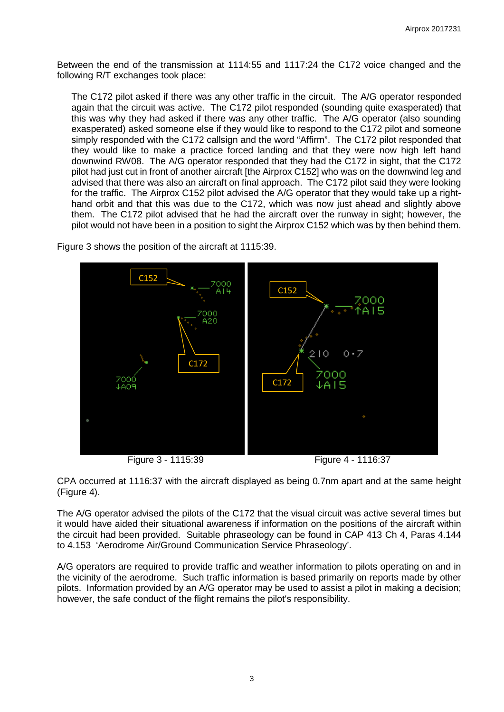Between the end of the transmission at 1114:55 and 1117:24 the C172 voice changed and the following R/T exchanges took place:

The C172 pilot asked if there was any other traffic in the circuit. The A/G operator responded again that the circuit was active. The C172 pilot responded (sounding quite exasperated) that this was why they had asked if there was any other traffic. The A/G operator (also sounding exasperated) asked someone else if they would like to respond to the C172 pilot and someone simply responded with the C172 callsign and the word "Affirm". The C172 pilot responded that they would like to make a practice forced landing and that they were now high left hand downwind RW08. The A/G operator responded that they had the C172 in sight, that the C172 pilot had just cut in front of another aircraft [the Airprox C152] who was on the downwind leg and advised that there was also an aircraft on final approach. The C172 pilot said they were looking for the traffic. The Airprox C152 pilot advised the A/G operator that they would take up a righthand orbit and that this was due to the C172, which was now just ahead and slightly above them. The C172 pilot advised that he had the aircraft over the runway in sight; however, the pilot would not have been in a position to sight the Airprox C152 which was by then behind them.



Figure 3 shows the position of the aircraft at 1115:39.

CPA occurred at 1116:37 with the aircraft displayed as being 0.7nm apart and at the same height (Figure 4).

The A/G operator advised the pilots of the C172 that the visual circuit was active several times but it would have aided their situational awareness if information on the positions of the aircraft within the circuit had been provided. Suitable phraseology can be found in CAP 413 Ch 4, Paras 4.144 to 4.153 'Aerodrome Air/Ground Communication Service Phraseology'.

A/G operators are required to provide traffic and weather information to pilots operating on and in the vicinity of the aerodrome. Such traffic information is based primarily on reports made by other pilots. Information provided by an A/G operator may be used to assist a pilot in making a decision; however, the safe conduct of the flight remains the pilot's responsibility.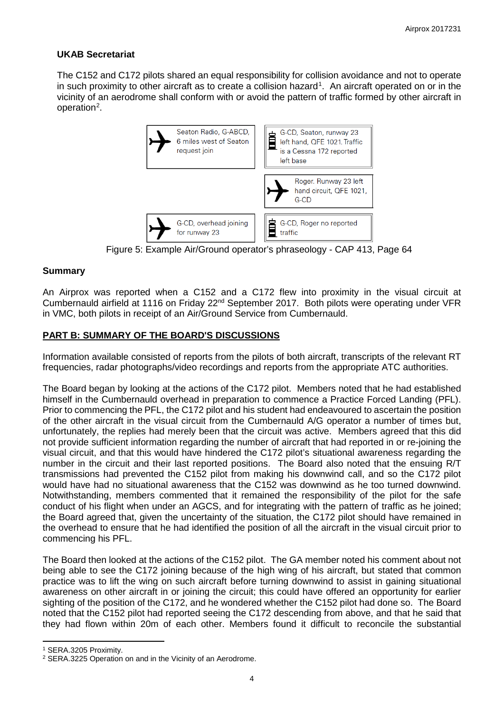## **UKAB Secretariat**

The C152 and C172 pilots shared an equal responsibility for collision avoidance and not to operate in such proximity to other aircraft as to create a collision hazard<sup>[1](#page-3-0)</sup>. An aircraft operated on or in the vicinity of an aerodrome shall conform with or avoid the pattern of traffic formed by other aircraft in operation<sup>[2](#page-3-1)</sup>.



Figure 5: Example Air/Ground operator's phraseology - CAP 413, Page 64

## **Summary**

An Airprox was reported when a C152 and a C172 flew into proximity in the visual circuit at Cumbernauld airfield at 1116 on Friday 22nd September 2017. Both pilots were operating under VFR in VMC, both pilots in receipt of an Air/Ground Service from Cumbernauld.

## **PART B: SUMMARY OF THE BOARD'S DISCUSSIONS**

Information available consisted of reports from the pilots of both aircraft, transcripts of the relevant RT frequencies, radar photographs/video recordings and reports from the appropriate ATC authorities.

The Board began by looking at the actions of the C172 pilot. Members noted that he had established himself in the Cumbernauld overhead in preparation to commence a Practice Forced Landing (PFL). Prior to commencing the PFL, the C172 pilot and his student had endeavoured to ascertain the position of the other aircraft in the visual circuit from the Cumbernauld A/G operator a number of times but, unfortunately, the replies had merely been that the circuit was active. Members agreed that this did not provide sufficient information regarding the number of aircraft that had reported in or re-joining the visual circuit, and that this would have hindered the C172 pilot's situational awareness regarding the number in the circuit and their last reported positions. The Board also noted that the ensuing R/T transmissions had prevented the C152 pilot from making his downwind call, and so the C172 pilot would have had no situational awareness that the C152 was downwind as he too turned downwind. Notwithstanding, members commented that it remained the responsibility of the pilot for the safe conduct of his flight when under an AGCS, and for integrating with the pattern of traffic as he joined; the Board agreed that, given the uncertainty of the situation, the C172 pilot should have remained in the overhead to ensure that he had identified the position of all the aircraft in the visual circuit prior to commencing his PFL.

The Board then looked at the actions of the C152 pilot. The GA member noted his comment about not being able to see the C172 joining because of the high wing of his aircraft, but stated that common practice was to lift the wing on such aircraft before turning downwind to assist in gaining situational awareness on other aircraft in or joining the circuit; this could have offered an opportunity for earlier sighting of the position of the C172, and he wondered whether the C152 pilot had done so. The Board noted that the C152 pilot had reported seeing the C172 descending from above, and that he said that they had flown within 20m of each other. Members found it difficult to reconcile the substantial

l

<span id="page-3-0"></span><sup>1</sup> SERA.3205 Proximity.

<span id="page-3-1"></span><sup>2</sup> SERA.3225 Operation on and in the Vicinity of an Aerodrome.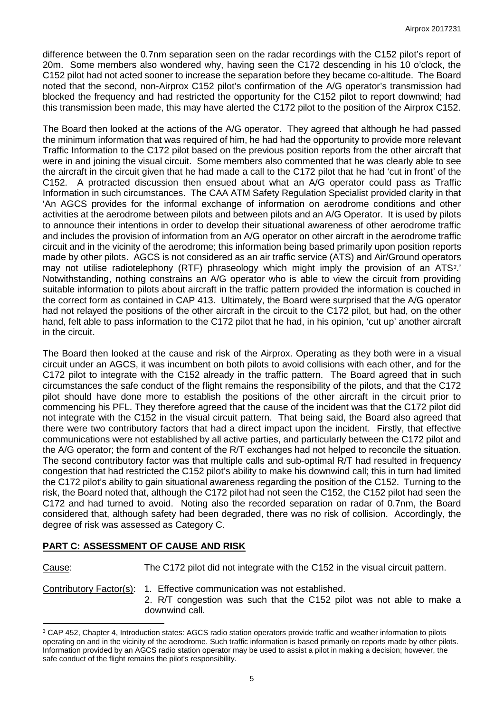difference between the 0.7nm separation seen on the radar recordings with the C152 pilot's report of 20m. Some members also wondered why, having seen the C172 descending in his 10 o'clock, the C152 pilot had not acted sooner to increase the separation before they became co-altitude. The Board noted that the second, non-Airprox C152 pilot's confirmation of the A/G operator's transmission had blocked the frequency and had restricted the opportunity for the C152 pilot to report downwind; had this transmission been made, this may have alerted the C172 pilot to the position of the Airprox C152.

The Board then looked at the actions of the A/G operator. They agreed that although he had passed the minimum information that was required of him, he had had the opportunity to provide more relevant Traffic Information to the C172 pilot based on the previous position reports from the other aircraft that were in and joining the visual circuit. Some members also commented that he was clearly able to see the aircraft in the circuit given that he had made a call to the C172 pilot that he had 'cut in front' of the C152. A protracted discussion then ensued about what an A/G operator could pass as Traffic Information in such circumstances. The CAA ATM Safety Regulation Specialist provided clarity in that 'An AGCS provides for the informal exchange of information on aerodrome conditions and other activities at the aerodrome between pilots and between pilots and an A/G Operator. It is used by pilots to announce their intentions in order to develop their situational awareness of other aerodrome traffic and includes the provision of information from an A/G operator on other aircraft in the aerodrome traffic circuit and in the vicinity of the aerodrome; this information being based primarily upon position reports made by other pilots. AGCS is not considered as an air traffic service (ATS) and Air/Ground operators may not utilise radiotelephony (RTF) phraseology which might imply the provision of an ATS*[3](#page-4-0)*.' Notwithstanding, nothing constrains an A/G operator who is able to view the circuit from providing suitable information to pilots about aircraft in the traffic pattern provided the information is couched in the correct form as contained in CAP 413. Ultimately, the Board were surprised that the A/G operator had not relayed the positions of the other aircraft in the circuit to the C172 pilot, but had, on the other hand, felt able to pass information to the C172 pilot that he had, in his opinion, 'cut up' another aircraft in the circuit.

The Board then looked at the cause and risk of the Airprox. Operating as they both were in a visual circuit under an AGCS, it was incumbent on both pilots to avoid collisions with each other, and for the C172 pilot to integrate with the C152 already in the traffic pattern. The Board agreed that in such circumstances the safe conduct of the flight remains the responsibility of the pilots, and that the C172 pilot should have done more to establish the positions of the other aircraft in the circuit prior to commencing his PFL. They therefore agreed that the cause of the incident was that the C172 pilot did not integrate with the C152 in the visual circuit pattern. That being said, the Board also agreed that there were two contributory factors that had a direct impact upon the incident. Firstly, that effective communications were not established by all active parties, and particularly between the C172 pilot and the A/G operator; the form and content of the R/T exchanges had not helped to reconcile the situation. The second contributory factor was that multiple calls and sub-optimal R/T had resulted in frequency congestion that had restricted the C152 pilot's ability to make his downwind call; this in turn had limited the C172 pilot's ability to gain situational awareness regarding the position of the C152. Turning to the risk, the Board noted that, although the C172 pilot had not seen the C152, the C152 pilot had seen the C172 and had turned to avoid. Noting also the recorded separation on radar of 0.7nm, the Board considered that, although safety had been degraded, there was no risk of collision. Accordingly, the degree of risk was assessed as Category C.

### **PART C: ASSESSMENT OF CAUSE AND RISK**

Cause: The C172 pilot did not integrate with the C152 in the visual circuit pattern.

 $\overline{a}$ 

Contributory Factor(s): 1. Effective communication was not established. 2. R/T congestion was such that the C152 pilot was not able to make a downwind call.

<span id="page-4-0"></span><sup>&</sup>lt;sup>3</sup> CAP 452, Chapter 4, Introduction states: AGCS radio station operators provide traffic and weather information to pilots operating on and in the vicinity of the aerodrome. Such traffic information is based primarily on reports made by other pilots. Information provided by an AGCS radio station operator may be used to assist a pilot in making a decision; however, the safe conduct of the flight remains the pilot's responsibility.